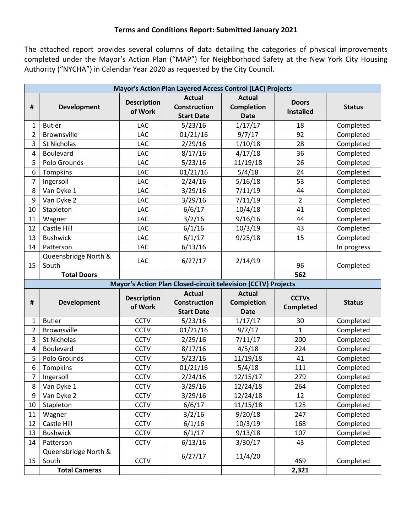## **Terms and Conditions Report: Submitted January 2021**

The attached report provides several columns of data detailing the categories of physical improvements completed under the Mayor's Action Plan ("MAP") for Neighborhood Safety at the New York City Housing Authority ("NYCHA") in Calendar Year 2020 as requested by the City Council.

| Mayor's Action Plan Layered Access Control (LAC) Projects |                                                       |                               |                                                               |                                            |                                  |               |  |  |  |
|-----------------------------------------------------------|-------------------------------------------------------|-------------------------------|---------------------------------------------------------------|--------------------------------------------|----------------------------------|---------------|--|--|--|
| $\pmb{\sharp}$                                            | <b>Development</b>                                    | <b>Description</b><br>of Work | <b>Actual</b><br><b>Construction</b><br><b>Start Date</b>     | <b>Actual</b><br>Completion<br><b>Date</b> | <b>Doors</b><br><b>Installed</b> | <b>Status</b> |  |  |  |
| 1                                                         | <b>Butler</b>                                         | <b>LAC</b>                    | 5/23/16                                                       | 1/17/17                                    | 18                               | Completed     |  |  |  |
| $\overline{2}$                                            | <b>Brownsville</b>                                    | LAC                           | 01/21/16                                                      | 9/7/17                                     | 92                               | Completed     |  |  |  |
| 3                                                         | St Nicholas                                           | LAC                           | 2/29/16                                                       | 1/10/18                                    | 28                               | Completed     |  |  |  |
| 4                                                         | Boulevard                                             | LAC                           | 8/17/16                                                       | 4/17/18                                    | 36                               | Completed     |  |  |  |
| 5                                                         | Polo Grounds                                          | LAC                           | 5/23/16                                                       | 11/19/18                                   | 26                               | Completed     |  |  |  |
| 6                                                         | Tompkins                                              | LAC                           | 01/21/16                                                      | 5/4/18                                     | 24                               | Completed     |  |  |  |
| $\overline{7}$                                            | Ingersoll                                             | LAC                           | 2/24/16                                                       | 5/16/18                                    | 53                               | Completed     |  |  |  |
| 8                                                         | Van Dyke 1                                            | LAC                           | 3/29/16                                                       | 7/11/19                                    | 44                               | Completed     |  |  |  |
| 9                                                         | Van Dyke 2                                            | LAC                           | 3/29/16                                                       | 7/11/19                                    | $\overline{2}$                   | Completed     |  |  |  |
| 10                                                        | Stapleton                                             | LAC                           | 6/6/17                                                        | 10/4/18                                    | 41                               | Completed     |  |  |  |
| 11                                                        | Wagner                                                | LAC                           | 3/2/16                                                        | 9/16/16                                    | 44                               | Completed     |  |  |  |
| 12                                                        | Castle Hill                                           | LAC                           | 6/1/16                                                        | 10/3/19                                    | 43                               | Completed     |  |  |  |
| 13                                                        | <b>Bushwick</b>                                       | LAC                           | 6/1/17                                                        | 9/25/18                                    | 15                               | Completed     |  |  |  |
| 14                                                        | Patterson                                             | LAC                           | 6/13/16                                                       |                                            |                                  | In progress   |  |  |  |
| 15                                                        | Queensbridge North &<br>South                         | LAC                           | 6/27/17                                                       | 2/14/19                                    | 96                               | Completed     |  |  |  |
|                                                           | <b>Total Doors</b>                                    |                               |                                                               |                                            | 562                              |               |  |  |  |
|                                                           |                                                       |                               | Mayor's Action Plan Closed-circuit television (CCTV) Projects |                                            |                                  |               |  |  |  |
|                                                           |                                                       | <b>Description</b>            | <b>Actual</b>                                                 | <b>Actual</b>                              | <b>CCTVs</b>                     |               |  |  |  |
| #                                                         | <b>Development</b>                                    | of Work                       | <b>Construction</b>                                           | Completion                                 | <b>Completed</b>                 | <b>Status</b> |  |  |  |
|                                                           |                                                       |                               | <b>Start Date</b>                                             | <b>Date</b>                                |                                  |               |  |  |  |
| 1                                                         | <b>Butler</b>                                         | <b>CCTV</b>                   | 5/23/16                                                       | 1/17/17                                    | 30                               | Completed     |  |  |  |
| $\overline{2}$                                            | Brownsville                                           | <b>CCTV</b>                   | 01/21/16                                                      | 9/7/17                                     | 1                                | Completed     |  |  |  |
| 3                                                         | St Nicholas                                           | <b>CCTV</b>                   | 2/29/16                                                       | 7/11/17                                    | 200                              | Completed     |  |  |  |
| 4                                                         | Boulevard                                             | <b>CCTV</b>                   | 8/17/16                                                       | 4/5/18                                     | 224                              | Completed     |  |  |  |
| 5                                                         | Polo Grounds                                          | <b>CCTV</b>                   | 5/23/16                                                       | 11/19/18                                   | 41                               | Completed     |  |  |  |
| 6                                                         | Tompkins                                              | <b>CCTV</b>                   | 01/21/16                                                      | 5/4/18                                     | 111                              | Completed     |  |  |  |
| $\overline{7}$                                            | Ingersoll                                             | <b>CCTV</b>                   | 2/24/16                                                       | 12/15/17                                   | 279                              | Completed     |  |  |  |
|                                                           | 8 Van Dyke 1                                          | <b>CCTV</b>                   | 3/29/16                                                       | 12/24/18                                   | 264                              | Completed     |  |  |  |
| 9                                                         |                                                       |                               |                                                               |                                            |                                  |               |  |  |  |
|                                                           | Van Dyke 2                                            | <b>CCTV</b>                   | 3/29/16                                                       | 12/24/18                                   | 12                               | Completed     |  |  |  |
| 10                                                        | Stapleton                                             | <b>CCTV</b>                   | 6/6/17                                                        | 11/15/18                                   | 125                              | Completed     |  |  |  |
| 11                                                        | Wagner                                                | <b>CCTV</b>                   | 3/2/16                                                        | 9/20/18                                    | 247                              | Completed     |  |  |  |
| 12                                                        | Castle Hill                                           | <b>CCTV</b>                   | 6/1/16                                                        | 10/3/19                                    | 168                              | Completed     |  |  |  |
| 13                                                        | <b>Bushwick</b>                                       | <b>CCTV</b>                   | 6/1/17                                                        | 9/13/18                                    | 107                              | Completed     |  |  |  |
| 14                                                        | Patterson                                             | <b>CCTV</b>                   | 6/13/16                                                       | 3/30/17                                    | 43                               | Completed     |  |  |  |
| 15                                                        | Queensbridge North &<br>South<br><b>Total Cameras</b> | <b>CCTV</b>                   | 6/27/17                                                       | 11/4/20                                    | 469<br>2,321                     | Completed     |  |  |  |